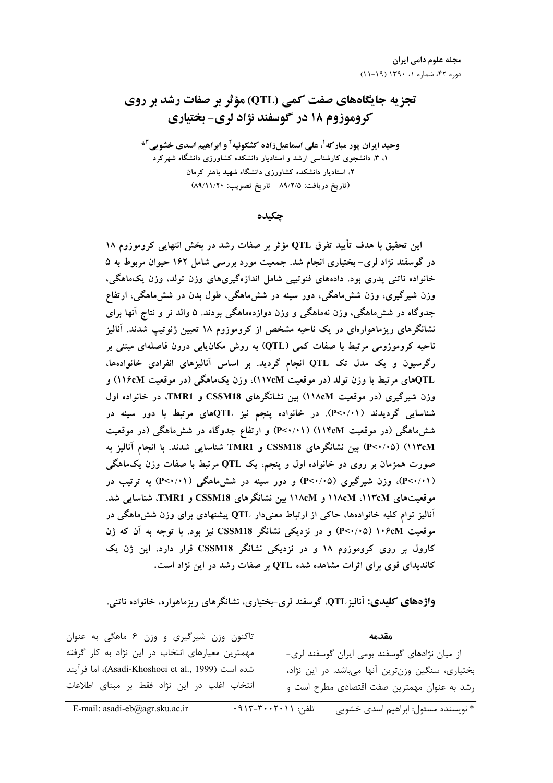# **تجزیه جایگاههای صفت کمی (QTL) مؤثر بر صفات رشد بر روی كروموزوم 18 در گوسفند نژاد لري- بختياري**

وحید ایران پور مبار *که <sup>۱</sup>، عل*ی اسماعیلزاده کشکوئیه ٔ و ابراهیم اسدی خشویی ٔ \* **۱. ۳.** دانشجوی کارشناسی ارشد و استادیار دانشکده کشاورزی دانشگاه شهرکرد ۲، استادیار دانشکده کشاورزی دانشگاه شهید باهنر کرمان **(89/11/20 :./% \$% - 89/2/5 :&' \$%)**

**جكىدە** 

این تحقیق با هدف تأیید تفرق QTL مؤثر بر صفات رشد در بخش انتهایی کروموزوم ۱۸ در گوسفند نژاد لری– بختیاری انجام شد. جمعیت مورد بررسی شامل ۱۶۲ حیوان مربوط به ۵ خانواده ناتنی پدری بود. دادههای فنوتیپی شامل اندازهگیریهای وزن تولد، وزن یکماهگی، وزن شیرگیری، وزن شش،اهگی، دور سینه در شش،اهگی، طول بدن در شش،اهگی، ارتفاع جدوگاه در شش۱هگی، وزن نهماهگی و وزن دوازدهماهگی بودند. ۵ والد نر و نتاج انها برای نشانگرهای ریزماهوارهای در یک ناحیه مشخص از کروموزوم ۱۸ تعیین ژنوتیپ شدند. انالیز ناحیه کروموزومی مرتبط با صفات کمی (QTL) به روش مکان**یابی درون فاصلهای مبتنی بر رگرسیون و یک مدل تک QTL انجام گردید. بر اساس آنالیزهای انفرادی خانوادهها، (116cM &E\_" ) "P ! -(117cM &E\_" ) C% ! Z[%" QTL** وزن شیرگیری (در موقعیت ۱۱۸cM) بین نشانگرهای CSSM18 و TMR1. در خانواده اول شناسایی گردیدند (۱۰/۰۲). در خانواده پنجم نیز QTLهای مرتبط با دور سینه در شش۱ههگی (در موقعیت ۱۱۴cM) (۲۰/۰۱) و ارتفاع جدوگاه در شش۱هگی (در موقعیت **L VC U @ . TMR1 CSSM18 2 (P<0/05) (113cM** صورت همزمان بر روی دو خانواده اول و پنجم، یک QTL مرتبط با صفات وزن یکماهگی ( P<**·/۰۱)**)، وزن شیرگیری (P<**·/۰**۵) و دور سینه در شش۱هگی (P<**·**/•۱) به ترتیب در **. -TMR1 CSSM18 2 118cM 118cM -113cM &E\_"**  $\hat{H}$  آنالیز توام کلیه خانوادهها، حاکی از ارتباط معنیدار QTL پیشنهادی برای وزن ششءاهگی در موقعیت ۱۰۶cM (۲۰/۰۵) و در نزدیکی نشانگر CSSM18 نیز بود. با توجه به آن که ژن کارول بر روی کروموزوم ۱۸ و در نزدیکی نشانگر CSSM18 قرار دارد، این ژن یک کاندیدای قوی برای اثرات مشاهده شده QTL بر صفات رشد در این نژاد است.

## **واژدهای کلیدی:** آنالیز QTL، گوسفند لری–بختیاری، نشانگرهای ریزماهواره، خانواده ناتنی.

**-@** از میان نژادهای گوسفند بومی ایران گوسفند لری-بختیاری، سنگین وزنترین آنها میباشد. در این نژاد، رشد به عنوان مهمترین صفت اقتصادی مطرح است و تاکنون وزن شیرگیری و وزن ۶ ماهگی به عنوان مهمترین معیارهای انتخاب در این نژاد به کار گرفته شده است (Asadi-Khoshoei et al., 1999)، اما فرآيند انتخاب اغلب د<sub>ر</sub> این نژاد فقط بر مبنای اطلاعات

E-mail: asadi-eb@agr.sku.ac.ir  $\cdot$ 913-3002011 : تلفن: ١٩٦٦-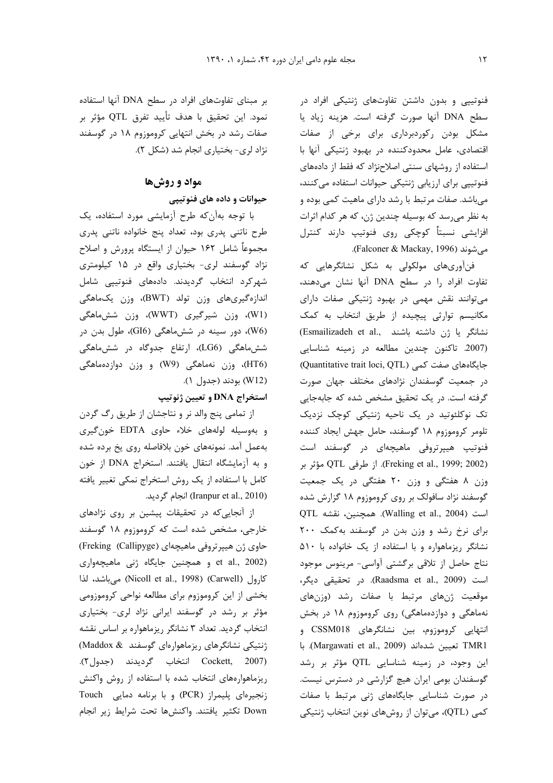فنوتیپی و بدون داشتن تفاوتهای ژنتیکی افراد در سطح DNA آنها صورت گرفته است. هزينه زياد يا مشکل بودن رکوردبرداری برای برخی از صفات اقتصادی، عامل محدودکننده در بهبود ژنتیکی آنها با استفاده از روشهای سنتی اصلاحنژاد که فقط از دادههای فنوتیپی برای ارزیابی ژنتیکی حیوانات استفاده میکنند، می باشد. صفات مرتبط با رشد دارای ماهیت کمی بوده و به نظر می رسد که بوسیله چندین ژن، که هر کدام اثرات افزایشی نسبتاً کوچکی روی فنوتیپ دارند کنترل می شوند (Falconer & Mackay, 1996).

فنآوریهای مولکولی به شکل نشانگرهایی که تفاوت افراد را در سطح DNA آنها نشان می دهند، می توانند نقش مهمی در بهبود ژنتیکی صفات دارای مکانیسم توارثی پیچیده از طریق انتخاب به کمک (Esmailizadeh et al., نشانگر یا ژن داشته باشند) (2007. تاكنون چندين مطالعه در زمينه شناسايي (Quantitative trait loci, QTL) جایگاههای صفت کمی در جمعیت گوسفندان نژادهای مختلف جهان صورت گرفته است. در یک تحقیق مشخص شده که جابهجایی تک نوکلئوتید در یک ناحیه ژنتیکی کوچک نزدیک تلومر كروموزوم ١٨ گوسفند، حامل جهش ايجاد كننده فنوتیپ هیپرتروفی ماهیچهای در گوسفند است (Freking et al., 1999; 2002). از طرفی QTL مؤثر بر وزن ۸ هفتگی و وزن ۲۰ هفتگی در یک جمعیت گوسفند نژاد سافولک بر روی کروموزوم ۱۸ گزارش شده OTL (Walling et al., 2004). همچنین، نقشه برای نرخ رشد و وزن بدن در گوسفند به کمک ۲۰۰ نشانگر ریزماهواره و با استفاده از یک خانواده با ۵۱۰ نتاج حاصل از تلاقی برگشتی آواسی- مرینوس موجود است (Raadsma et al., 2009). در تحقیقی دیگر، موقعیت ژنهای مرتبط با صفات رشد (وزنهای نهماهگی و دوازدهماهگی) روی کروموزوم ۱۸ در بخش انتهایی کروموزوم، بین نشانگرهای CSSM018 و TMR1 تعيين شدهاند (Margawati et al., 2009). با این وجود، در زمینه شناسایی QTL مؤثر بر رشد گوسفندان بومی ایران هیچ گزارشی در دسترس نیست. در صورت شناسایی جایگاههای ژنی مرتبط با صفات کمی (QTL)، میتوان از روشهای نوین انتخاب ژنتیکی

بر مبنای تفاوتهای افراد در سطح DNA آنها استفاده نمود. این تحقیق با هدف تأیید تفرق QTL مؤثر بر صفات رشد در بخش انتهایی کروموزوم ۱۸ در گوسفند نژاد لری- بختیاری انجام شد (شکل ۲).

## مواد و روشها حیوانات و داده های فنوتیپی

با توجه بهآن كه طرح آزمايشي مورد استفاده، يك طرح ناتنی پدری بود، تعداد پنج خانواده ناتنی پدری مجموعاً شامل ۱۶۲ حیوان از ایستگاه پرورش و اصلاح نژاد گوسفند لری- بختیاری واقع در ۱۵ کیلومتری شهرکرد انتخاب گردیدند. دادههای فنوتیپی شامل اندازهگیریهای وزن تولد (BWT)، وزن یکماهگی (W1)، وزن شیرگیری (WWT)، وزن شش.ماهگی (W6)، دور سینه در شش.ماهگی (GI6)، طول بدن در شش،ماهگی (LG6)، ارتفاع جدوگاه در شش،ماهگی (HT6)، وزن نهماهگی (W9) و وزن دوازدهماهگی (W12) بودند (جدول ۱).

### استخراج DNA و تعیین ژنوتیپ

از تمامی پنج والد نر و نتاجشان از طریق رگ گردن و بهوسیله لولههای خلاء حاوی EDTA خون گیری بهعمل آمد. نمونههای خون بلافاصله روی یخ برده شده و به آزمایشگاه انتقال یافتند. استخراج DNA از خون كامل با استفاده از يک روش استخراج نمكي تغيير يافته (Iranpur et al., 2010) انجام گردید.

از آنجایی که در تحقیقات پیشین بر روی نژادهای خارجی، مشخص شده است که کروموزوم ۱۸ گوسفند حاوي ژن هيپرتروفي ماهيچهاي (Freking (Callipyge) et al., 2002) و همچنین جایگاه ژنی ماهیچهواری كارول (Carwell) Carwell) مى باشد، لذا بخشی از این کروموزوم برای مطالعه نواحی کروموزومی مؤثر بر رشد در گوسفند ایرانی نژاد لری- بختیاری انتخاب گردید. تعداد ۳ نشانگر ریزماهواره بر اساس نقشه ژنتیکی نشانگرهای ریزماهوارهای گوسفند Maddox & Cockett, 2007) انتخاب گرديدند (جدول٢). ریزماهوارههای انتخاب شده با استفاده از روش واکنش زنجيرهاي پليمراز (PCR) وبا برنامه دمايي Touch Down تكثير يافتند. واكنشها تحت شرايط زير انجام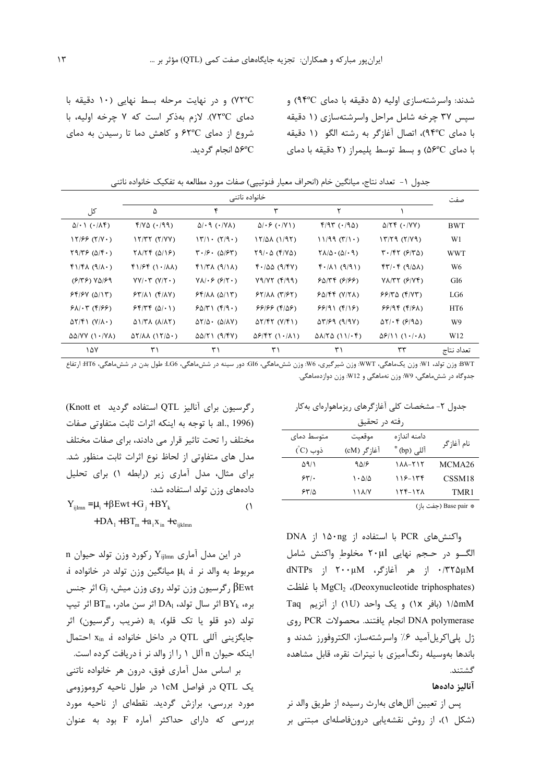شدند: واسرشتهسازی اولیه (۵ دقیقه با دمای ۹۴°C) و سیس ۳۷ چرخه شامل مراحل واسرشتهسازی (۱ دقیقه با دمای ٩۴°C)، اتصال آغازگر به رشته الگو (١ دقیقه با دمای ۵۶°C) و بسط توسط پلیمراز (۲ دقیقه با دمای

۷۲°C) و در نهایت مرحله بسط نهایی (۱۰ دقیقه با دمای ۷۲°C). لازم بهذکر است که ۷ چرخه اولیه، با شروع از دمای ۶۲°C و کاهش دما تا رسیدن به دمای ۵۶°C انجام گردید.

جدول ١– تعداد نتاج، ميانگين خام (انحراف معيار فنوتيپي) صفات مورد مطالعه به تفكيک خانواده ناتني

|                                          | خانواده ناتنى                             |                                                                         |                                              |                                                         |                                                                      |                 | صفت |
|------------------------------------------|-------------------------------------------|-------------------------------------------------------------------------|----------------------------------------------|---------------------------------------------------------|----------------------------------------------------------------------|-----------------|-----|
| کل                                       | ۵                                         | ۴                                                                       | ٣                                            |                                                         |                                                                      |                 |     |
| $\Delta/\cdot$ ( $\cdot$ / $\Lambda$ )   | $f/V\Delta$ ( $(199)$ )                   | $\Delta/\cdot$ 9 ( $\cdot$ /YA)                                         | $\Delta/\cdot$ $\epsilon$ ( $\cdot$ /Y))     | $f/97$ ( $(190)$ )                                      | $\Delta$ /۲۴ (۰/۷۷)                                                  | <b>BWT</b>      |     |
| $17/55 (7/V \cdot )$                     | $17/T$ $(7/VV)$                           | $\langle \uparrow \rangle \cdot \langle \uparrow \rangle \cdot \rangle$ | $17/\Delta\lambda$ (1/97)                    | 11/99 (T/1)                                             | $\frac{17}{79}$ ( $\frac{7}{9}$ )                                    | W1              |     |
| $\Gamma$ 9/٣۶ (۵/۴۰)                     | $Y\Lambda/Y$ $(\Delta/Y)$                 | $\mathbf{Y} \cdot \mathbf{S} \cdot (\Delta \mathbf{S} \mathbf{Y})$      | $\Gamma$ 9/ $\cdot$ $\Delta$ (F/Y $\Delta$ ) | $\Gamma \Lambda / \Delta \cdot (\Delta / \cdot \theta)$ | $\mathbf{Y} \cdot \mathbf{X} \mathbf{Y}$ ( $\mathbf{Y} \mathbf{X}$ ) | <b>WWT</b>      |     |
| $f1/F\lambda (9/\lambda \cdot )$         | $f1/Ff(1./\lambda)$                       | $f1/T\lambda (9/1\lambda)$                                              | $f'/\Delta\Delta$ (9/4V)                     | $f \cdot / \Lambda$ (9/9)                               | $f\uparrow/\cdot\uparrow$ (9/81)                                     | W6              |     |
| $(5195)$ $V\Delta$ /59                   | $YY/\cdot \tau (Y/\tau \cdot )$           | $Y\Lambda/\cdot \mathcal{F}(\mathcal{F}/\mathsf{T}\cdot)$               | Y9/Y7(999)                                   | 50/77 (5/5)                                             | $V\Lambda/\Upsilon\Upsilon$ ( $\mathcal{S}/\Upsilon\Upsilon$ )       | GI <sub>6</sub> |     |
| 55/5V(0/17)                              | $57/\lambda$ ( $f/\lambda$ Y)             | $55/\lambda\lambda$ ( $\Delta/17$ )                                     | $57/\lambda\lambda$ ( $7/57$ )               | $F\Delta/FF$ (Y/YA)                                     | 55/70 (9/77)                                                         | LG6             |     |
| $51.5$ (4/58)                            | $55/75 (0/\cdot)$                         | 50/71(5/9)                                                              | (۴۱۵۶) ۶۶۱۶۶                                 | 99/91(f/19)                                             | 99/99 (9/8)                                                          | HT <sub>6</sub> |     |
| $\Delta Y/\mathfrak{f}$ (Y/ $\Lambda$ .) | $\Delta$ \\r\(\\\r\)                      | $\Delta Y/\Delta$ ( $\Delta/\Delta Y$ )                                 | $\Delta Y/\gamma Y (Y/\gamma)$               | $\Delta \Upsilon$ /۶۹ (۹/۹۷)                            | $\Delta Y/\cdot f$ ( $\epsilon$ /9 $\Delta$ )                        | W <sub>9</sub>  |     |
| $\Delta\Delta/VV$ (1./YA)                | $\Delta Y/\Delta\Lambda$ (17/ $\Delta$ ·) | $\Delta\Delta/\Upsilon$ (9/4V)                                          | $\Delta$ ۶/۴۲ (۱۰/۸۱)                        | $\Delta\lambda/\Upsilon\Delta$ (11/ $\cdot$ ۴)          | $\Delta$ ۶/۱۱ (۱۰/۰۸)                                                | W12             |     |
| ۱۵۷                                      | ۳۱                                        | ۳۱                                                                      | ۳۱                                           | ۳۱                                                      | ٣٣                                                                   | تعداد نتاح      |     |

BWT: وزن تولد، WI: وزن يكماهگي، WWT: وزن شيرگيري، W6: وزن شش0هگي، GI6. دور سينه در شش0هگي، LG6: طول بدن در شش0هگي، HT6: ارتفاع جدوگاه در شش،اهگی، W9: وزن نهماهگی و W12: وزن دوازدهماهگی.

جدول ۲- مشخصات کلی آغاز گرهای ریزماهوارهای به کار

| رفته در تحقيق                                           |             |                        |                    |  |  |
|---------------------------------------------------------|-------------|------------------------|--------------------|--|--|
| متوسط دمای                                              | موقعيت      | دامنه اندازه           | نام آغازگر         |  |  |
| ڏوب (Č)                                                 | آغا;گر (cM) | أللي (bp) <sup>*</sup> |                    |  |  |
| ۵۹/۱                                                    | 9516        | $111 - 717$            | MCMA26             |  |  |
| 55.                                                     | ۱۰۵۱۵       | $118 - 179$            | CSSM <sub>18</sub> |  |  |
| ۶۳۱۵                                                    | ۱۱۸/۷       | $155 - 151$            | TMR1               |  |  |
| $(\cdot   \cdot   \cdot \lambda_{\infty})$ Race nair as |             |                        |                    |  |  |

\* Base pair (جفت باز)

واكنش هاى PCR با استفاده از ۱۵۰ng از DNA الگـــو در حــجم نهایی ۲۰μl مخلوط ِواکنش شامل dNTPs | (مر آغازگر، ۲۰۰μM | dNTPs | (Deoxynucleotide triphosphates)، با غلظت ۱/۵mM (بافر ۱x) و یک واحد (U) از آنزیم Taq DNA polymerase انجام يافتند. محصولات PCR روى ژل پلیاکریلآمید ۶٪ واسرشتهساز، الکتروفورز شدند و باندها بەوسیلە رنگآمیزی با نیترات نقره، قابل مشاهده گشتند.

#### آناليز دادهها

پس از تعیین آللهای بهارث رسیده از طریق والد نر (شکل ۱)، از روش نقشهیابی درونفاصلهای مبتنی بر

رگرسیون برای آنالیز QTL استفاده گردید Knott et) al., 1996). با توجه به اینکه اثرات ثابت متفاوتی صفات مختلف را تحت تاثیر قرار می دادند، برای صفات مختلف مدل های متفاوتی از لحاظ نوع اثرات ثابت منظور شد. برای مثال، مدل آماری زیر (رابطه ۱) برای تحلیل دادههای وزن تولد استفاده شد:  $\bigcap$ 

 $Y_{\text{ijlmn}} = \mu_i + \beta Ewt + G_i + BY_k$ +  $DA_1$  +  $BT_m$  +  $a_iX_{in}$  +  $e_{ijklmn}$ 

n در این مدل آماری  $Y_{\text{iilmn}}$  کورد وزن تولد حیوان مربوط به والد نر µ میانگین وزن تولد در خانواده i، رگرسیون وزن تولد روی وزن میش،  $\mathrm{G_{j}}$  اثر جنس  $\mathrm{\beta Ewt}$ بره، BY<sub>k</sub> اثر سال تولد، DA<sub>l</sub> اثر سن مادر، BT<sub>m</sub> اثر تيپ تولد (دو قلو يا تک قلو)، a<sub>i</sub> (ضريب رگرسيون) اثر جايگزيني آللي QTL در داخل خانواده xin i احتمال اینکه حیوان n آلل ۱ ,ا از والد نر i دریافت کرده است.

بر اساس مدل آماری فوق، درون هر خانواده ناتنی یک QTL در فواصل ۱cM در طول ناحیه کروموزومی مورد بررسی، برازش گردید. نقطهای از ناحیه مورد بررسی که دارای حداکثر آماره F بود به عنوان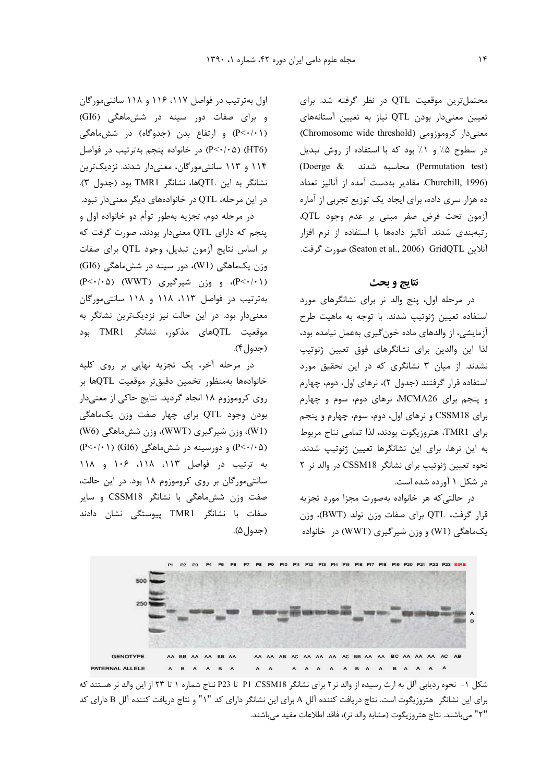محتمل ترین موقعیت QTL در نظر گرفته شد. برای تعیین معنیدار بودن QTL نیاز به تعیین آستانههای معنیدار کروموزومی (Chromosome wide threshold) در سطوح ۰٪ و ۱٪ بود که با استفاده از روش تبدیل (Permutation test) محاسبه شدند (Doerge & Churchill, 1996). مقادیر بهدست آمده از آنالیز تعداد ده هزار سری داده، برای ایجاد یک توزیع تجربی از آماره آزمون تحت فرض صفر مبنى بر عدم وجود QTL، رتبهبندی شدند. آنالیز دادهها با استفاده از نرم افزار آنلاین GridQTL (Seaton et al., 2006) GridQTL صورت گرفت.

#### نتايج و بحث

در مرحله اول، پنج والد نر برای نشانگرهای مورد استفاده تعیین ژنوتیپ شدند. با توجه به ماهیت طرح آزمایشی، از والدهای ماده خون گیری بهعمل نیامده بود، لذا این والدین برای نشانگرهای فوق تعیین ژنوتیپ نشدند. از میان ۳ نشانگری که در این تحقیق مورد استفاده قرار گرفتند (جدول ٢)، نرهای اول، دوم، چهارم و پنجم برای MCMA26، نرهای دوم، سوم و چهارم برای CSSM18 و نرهای اول، دوم، سوم، چهارم و پنجم برای TMR1، هتروزیگوت بودند، لذا تمامی نتاج مربوط به این نرها، برای این نشانگرها تعیین ژنوتیپ شدند. نحوه تعیین ژنوتیپ برای نشانگر CSSM18 در والد نر ٢ در شکل ۱ آورده شده است.

در حالتی که هر خانواده بهصورت مجزا مورد تجزیه قرار گرفت، QTL برای صفات وزن تولد (BWT)، وزن یکماهگی (W1) و وزن شیر گیری (WWT) در خانواده

اول به ترتیب در فواصل ۱۱۷، ۱۱۶ و ۱۱۸ سانتی مورگان و برای صفات دور سینه در شش ماهگی (GI6) (P<٠/١١) و ارتفاع بدن (جدوگاه) در شش ماهگی (HT6) (P<٠/٠۵) در خانواده پنجم بهترتیب در فواصل ۱۱۴ و ۱۱۳ سانتی مورگان، معنی دار شدند. نزدیک ترین نشانگر به این QTLها، نشانگر TMR1 بود (جدول ۳). در این مرحله، QTL در خانوادههای دیگر معنیcار نبود.

در مرحله دوم، تجزیه بهطور توأم دو خانواده اول و پنجم که دارای QTL معنیدار بودند، صورت گرفت که بر اساس نتايج آزمون تبديل، وجود QTL براى صفات وزن یکماهگی (W1)، دور سینه در شش.ماهگی (GI6) (P<٠/٠١)، و وزن شيرگيري (WWT) (P<٠/٠٥) بهترتیب در فواصل ۱۱۳، ۱۱۸ و ۱۱۸ سانتی مورگان معنیدار بود. در این حالت نیز نزدیکترین نشانگر به موقعیت QTLهای مذکور، نشانگر TMR1 بود (جدول۴).

در مرحله آخر، یک تجزیه نهایی بر روی کلیه خانوادهها بهمنظور تخمين دقيقتر موقعيت QTLها بر روی کروموزوم ۱۸ انجام گردید. نتایج حاکی از معنیدار بودن وجود QTL برای چهار صفت وزن یکماهگی (W1)، وزن شیرگیری (WWT)، وزن شش.ماهگی (W6) (P<۰/۰۵) و دورسینه در شش ماهگی (GI6) (P<۰/۰۱) به ترتيب در فواصل ١١٣، ١١٨، ١٠۶ و ١١٨ سانتی مورگان بر روی کروموزوم ۱۸ بود. در این حالت، صفت وزن ششهاهگی با نشانگر CSSM18 و سایر صفات با نشانگر TMR1 ییوستگی نشان دادند (جدول۵).



شکل ۱- نحوه ردیابی آلل به ارث رسیده از والد نر۲ برای نشانگر P1 .CSSM18 تا P23 نتاج شماره ۱ تا ۲۳ از این والد نر هستند که برای این نشانگر هتروزیگوت است. نتاج دریافت کننده آلل A برای این نشانگر دارای کد "۱" و نتاج دریافت کننده آلل B دارای کد "٢" مي باشند. نتاج هتروزيگوت (مشابه والد نر)، فاقد اطلاعات مفيد مي باشند.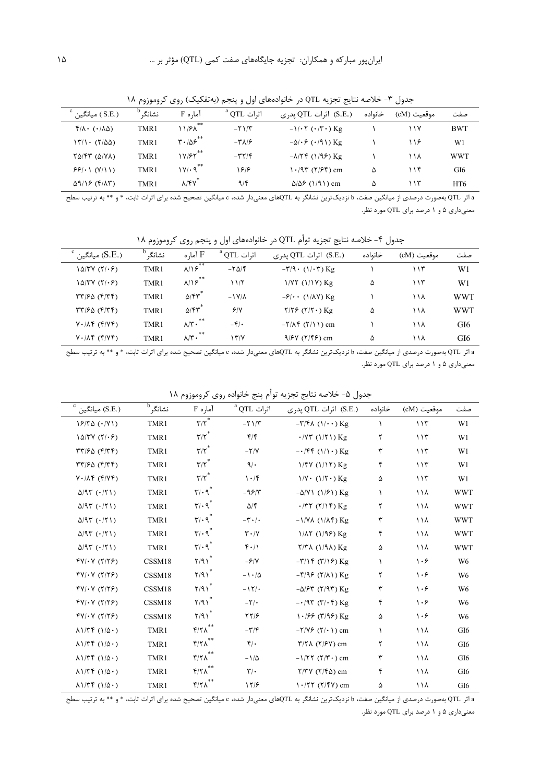نشانگر<sup>b</sup>  $^{\rm c}$  ) میانگین ( S.E. ) آما<sub>د</sub>ه F  $^{\rm a}$  QTL أثرات (S.E.) اثرات QTL پدری خانواده موقعیت (cM) صفت  $f/\lambda \cdot (1/\lambda \Delta)$ TMR1  $11/5\lambda$  $-\tau \frac{1}{\tau}$  $-1/\cdot \tau$  ( $\cdot/\tau \cdot$ ) Kg **BWT**  $\lambda$  $11Y$  $\mathbf{r} \cdot \mathbf{r}$  $\langle \nabla / \cdot (\nabla / \Delta \Delta) \rangle$ TMR1  $-\Delta/\cdot$ ۶ ( $\cdot$ /۹۱) Kg  $-\tau \lambda / 5$  $119$  $W1$  $\boldsymbol{\lambda}$  $\mathsf{1}\mathsf{Y}/\mathsf{F}\mathsf{Y}^{**}$  $\Upsilon \Delta / \Upsilon \Upsilon$  ( $\Delta / \Upsilon \Lambda$ ) TMR1  $-\tau\tau/\tau$  $-\lambda/\Upsilon f$  (1/98) Kg  $\bar{ }$  $11<sub>A</sub>$ **WWT**  $1Y/\cdot q^{**}$  $551.1 (Y/1)$  $1.97 (7/5)$  cm TMR1  $198$  $\Delta$  $11f$ GI<sub>6</sub>  $\Delta/\Delta$ ۶ (۱/۹۱) cm  $\lambda$ /۴۷<sup>\*</sup>  $\Delta$ 9/18 (F/AT) TMR1  $9/5$  $115$  $\Delta$ HT6

جدول ۳- خلاصه نتایج تجزیه QTL در خانوادههای اول و پنجم (بهتفکیک) روی کروموزوم ۱۸

a اثر QTL بهصورت درصدی از میانگین صفت، b نزدیکترین نشانگر به QTLهای معنیدار شده، c میانگین تصحیح شده برای اثرات ثابت، \* و \*\* به ترتیب سطح معنیداری ۵ و ۱ درصد برای QTL مورد نظر.

جدول ۴- خلاصه نتايج تجزيه توأم QTL در خانوادههاي اول و پنجم روي كروموزوم ١٨

| (.S.E) میانگین)                                   | نشانگ | آما, ہ $\rm{F}$            | $^{\rm a}$ QTL اثرات      | (.S.E) اثرات QTL پدری                                     | خانواده | موقعیت (cM) | صفت        |
|---------------------------------------------------|-------|----------------------------|---------------------------|-----------------------------------------------------------|---------|-------------|------------|
| $\frac{1}{\alpha}$                                | TMR1  | **<br>$\lambda/\lambda$    | $-\Gamma \Delta / \Gamma$ | $-\mathbf{Y}/\mathbf{Q} \cdot (\mathbf{1}/\mathbf{C})$ Kg |         | ۱۱۳         | W1         |
| $1\Delta$ /۳Y (۲/۰۶)                              | TMR1  | **<br>$\lambda/\sqrt{2}$   | 11/5                      | $1/YY$ $(1/1V)$ Kg                                        | ۵       | 115         | W1         |
| $\tau\tau/\epsilon\omega$ ( $\tau/\tau\epsilon$ ) | TMR1  | $\Delta$ /۴۳               | $-1V/\lambda$             | $-\mathcal{F}/\cdot \cdot$ (1/AV) Kg                      |         | ۱۱۸         | <b>WWT</b> |
| $\Gamma\Gamma/50$ ( $\Gamma\Gamma\Gamma$ )        | TMR1  | $\Delta$ /۴۳ $^{\circ}$    | 9/1                       | $Y/Y$ $(Y/Y \cdot)$ Kg                                    | ۵       | ۱۱۸         | <b>WWT</b> |
| $V \cdot / \Lambda f$ ( $f/Vf$ )                  | TMR1  | **<br>$\Lambda/\Upsilon$ . | $-\mathfrak{F}/\bullet$   | $-Y/\Lambda$ $(Y/\Lambda)$ cm                             |         | ۱۱۸         | GI6        |
| $V \cdot / \Lambda f$ ( $f/Vf$ )                  | TMR1  | **<br>$\lambda/\tau$ .     | ۱۳/۷                      | $9/9V (Y/\mathfrak{F})$ cm                                | Δ       | ۱۱۸         | GI6        |

a اثر QTL بهصورت درصدی از میانگین صفت، b نزدیکترین نشانگر به QTLهای معنیدار شده، c میانگین تصحیح شده برای اثرات ثابت، \* و \*\* به ترتیب سطح معنیداری ۵ و ۱ درصد برای QTL مورد نظر.

| $^{\rm c}$ میانگین (S.E.)                                                                                                                                                                                                                                                                                                                                                                                            | نشانگر <sup>16</sup> | آماره F                                      | $^{\rm a}\rm QTL$ اثرات        | (S.E.) اثرات QTL پدری                                             | خانواده | موقعيت (cM)     | صفت             |
|----------------------------------------------------------------------------------------------------------------------------------------------------------------------------------------------------------------------------------------------------------------------------------------------------------------------------------------------------------------------------------------------------------------------|----------------------|----------------------------------------------|--------------------------------|-------------------------------------------------------------------|---------|-----------------|-----------------|
| $19/70$ $(0.1)$                                                                                                                                                                                                                                                                                                                                                                                                      | TMR1                 | $\tau/\tau^*$                                | $-\tau$ $\gamma$               | $-\mathbf{r}/\mathbf{f}\wedge (\mathbf{1}/\mathbf{r})$ Kg         |         | 115             | W <sub>1</sub>  |
| $10/7V(7/\cdot)$                                                                                                                                                                                                                                                                                                                                                                                                     | TMR1                 | $\mathbf{r}/\mathbf{r}^*$                    | f/f                            | $\cdot$ /Y۳ (۱/۲۱) Kg                                             | ٢       | 115             | W1              |
| $\Gamma\Gamma/\Gamma\Delta$ ( $\Gamma/\Gamma\Gamma$ )                                                                                                                                                                                                                                                                                                                                                                | TMR1                 | $\mathbf{r}/\mathbf{r}^*$                    | $-\nabla/\Upsilon$             | $-\cdot$ /۴۴ (۱/۱ $\cdot$ ) Kg                                    | ٣       | 115             | W1              |
| $\Gamma\Gamma/\Gamma\Delta$ ( $\Gamma/\Gamma\Gamma$ )                                                                                                                                                                                                                                                                                                                                                                | TMR1                 | $\tau/\tau^*$                                | 9/                             | $1/FV (1/17)$ Kg                                                  | ۴       | 115             | W1              |
| $V \cdot / \Lambda f$ ( $f/Vf$ )                                                                                                                                                                                                                                                                                                                                                                                     | TMR1                 | $\mathbf{r}/\mathbf{r}^*$                    | 1.7                            | $1/V \cdot (1/\tau \cdot)$ Kg                                     | ۵       | 115             | W1              |
| $\Delta$ /95 ( $\cdot$ /51)                                                                                                                                                                                                                                                                                                                                                                                          | TMR1                 | $\mathbf{r}/\cdot \mathbf{q}^*$              | $-99/7$                        | $-\Delta/Y$ (1/ $\ell$ ) Kg                                       | ١.      | 11 <sub>A</sub> | <b>WWT</b>      |
| $\Delta$ /95 ( $\cdot$ /7)                                                                                                                                                                                                                                                                                                                                                                                           | TMR1                 | $\mathbf{r}/\cdot \mathbf{q}^*$              | $\Delta/\mathfrak{F}$          | $\cdot$ /۳۲ (۲/۱۴) Kg                                             | ۲       | ۱۱۸             | <b>WWT</b>      |
| $\Delta$ /95 ( $\cdot$ /7)                                                                                                                                                                                                                                                                                                                                                                                           | TMR1                 | $\mathbf{r}/\cdot \mathbf{q}^*$              | $-\mathbf{r} \cdot \mathbf{r}$ | $-1/\gamma\lambda$ (1/ $\lambda$ f) Kg                            | ٣       | ۱۱۸             | <b>WWT</b>      |
| $\Delta$ /95 ( $\cdot$ /51)                                                                                                                                                                                                                                                                                                                                                                                          | TMR1                 | $\mathbf{r}/\cdot \mathbf{q}^*$              | $\mathbf{r} \cdot \mathbf{v}$  | $1/\lambda$ ( $1/9$ ) Kg                                          | ۴       | ۱۱۸             | <b>WWT</b>      |
| $\Delta$ /95 ( $\cdot$ /7)                                                                                                                                                                                                                                                                                                                                                                                           | TMR1                 | $\mathbf{r}/\cdot \mathbf{q}^*$              | $f \cdot / \Lambda$            | $Y/Y$ A $(1/9\lambda)$ Kg                                         | ۵       | ۱۱۸             | <b>WWT</b>      |
| $fV/\cdot V(T/\gamma)$                                                                                                                                                                                                                                                                                                                                                                                               | CSSM18               | Y/91                                         | $-\frac{5}{2}$                 | $-\Gamma/(\Gamma(\Gamma)/\epsilon)$ Kg                            |         | ۱۰۶             | W <sub>6</sub>  |
| $fV/\cdot V(T/\tau)$                                                                                                                                                                                                                                                                                                                                                                                                 | CSSM18               | Y/91                                         | $-1.40$                        | $-\frac{\xi}{9}$ ( $\frac{\xi}{\lambda}$ ) Kg                     | ٢       | ۱۰۶             | W <sub>6</sub>  |
| $fV/\cdot V(T/\gamma)$                                                                                                                                                                                                                                                                                                                                                                                               | CSSM18               | Y/91                                         | $-15/$                         | $-\Delta$ / $\mathcal{F}$ r ( $\mathcal{F}$ /9 $\mathcal{F}$ ) Kg | ٣       | ۱۰۶             | W <sub>6</sub>  |
| $fV/\cdot V(T/\tau)$                                                                                                                                                                                                                                                                                                                                                                                                 | CSSM18               | Y/91                                         | $-\nabla/\cdot$                | $-\cdot$ /9۳ (۳/۰۴) Kg                                            | ۴       | ۱۰۶             | W <sub>6</sub>  |
| $fV/\cdot V(T/\tau)$                                                                                                                                                                                                                                                                                                                                                                                                 | CSSM18               | Y/91                                         | $\frac{1}{2}$                  | $\frac{1.189 (T/9)}{2}$ Kg                                        | ۵       | ۱۰۶             | W <sub>6</sub>  |
| $\lambda$ 1/٣۴ (1/ $\Delta$ .)                                                                                                                                                                                                                                                                                                                                                                                       | TMR1                 | $\mathfrak{k}/\mathfrak{k}$ $\wedge$         | $-\mathbf{r}/\mathbf{r}$       | $-Y/Y$ $(Y \cdot Y)$ cm                                           | 1       | ۱۱۸             | GI <sub>6</sub> |
| $\lambda$ $\Lambda$ $\uparrow$ $\uparrow$ $\uparrow$ $\uparrow$ $\uparrow$ $\uparrow$ $\uparrow$ $\uparrow$ $\uparrow$ $\uparrow$ $\uparrow$ $\uparrow$ $\uparrow$ $\uparrow$ $\uparrow$ $\uparrow$ $\uparrow$ $\uparrow$ $\uparrow$ $\uparrow$ $\uparrow$ $\uparrow$ $\uparrow$ $\uparrow$ $\uparrow$ $\uparrow$ $\uparrow$ $\uparrow$ $\uparrow$ $\uparrow$ $\uparrow$ $\uparrow$ $\uparrow$ $\uparrow$ $\uparrow$ | TMR1                 | $f/\gamma\Lambda^{**}$                       | $f(\cdot)$                     | $\uparrow/\uparrow\uparrow$ ( $\uparrow/\uparrow\uparrow$ ) cm    | ٢       | ۱۱۸             | GI <sub>6</sub> |
| $\lambda$ $\Lambda$ $\uparrow$ $\uparrow$ $\uparrow$ $\uparrow$ $\uparrow$ $\uparrow$ $\uparrow$ $\uparrow$ $\uparrow$ $\uparrow$ $\uparrow$ $\uparrow$ $\uparrow$ $\uparrow$ $\uparrow$ $\uparrow$ $\uparrow$ $\uparrow$ $\uparrow$ $\uparrow$ $\uparrow$ $\uparrow$ $\uparrow$ $\uparrow$ $\uparrow$ $\uparrow$ $\uparrow$ $\uparrow$ $\uparrow$ $\uparrow$ $\uparrow$ $\uparrow$ $\uparrow$ $\uparrow$ $\uparrow$ | TMR1                 | $\mathfrak{f}/\mathfrak{f}\wedge^{\ast\ast}$ | $-1/\Delta$                    | $-1/57$ ( $7/5$ .) cm                                             | ٣       | ۱۱۸             | GI <sub>6</sub> |
| $\lambda$ 1/٣۴ (1/ $\Delta$ .)                                                                                                                                                                                                                                                                                                                                                                                       | TMR1                 | $\mathfrak{k}/\mathfrak{k}$ $\wedge$         | $\mathbf{r}/\cdot$             | $Y/Y$ $(Y/\mathfrak{F}\Delta)$ cm                                 | ۴       | ۱۱۸             | GI <sub>6</sub> |
| $\lambda$ 1/٣۴ (1/ $\Delta$ .)                                                                                                                                                                                                                                                                                                                                                                                       | TMR1                 | $\mathfrak{k}/\mathfrak{k}$ $\mathfrak{k}^*$ | 17/5                           | $1.777$ ( $7/5$ ) cm                                              | ۵       | ۱۱۸             | GI <sub>6</sub> |

جدول ۵- خلاصه نتايج تجزيه توأم پنج خانواده روى كروموزوم ١٨

ه اثر QTL بهصورت درصدی از میانگین صفت، b نزدیکترین نشانگر به QTLهای معنیدار شده، c میانگین تصحیح شده برای اثرات ثابت، \* و \*\* به ترتیب سطح معنیداری ۵ و ۱ درصد برای QTL مورد نظر.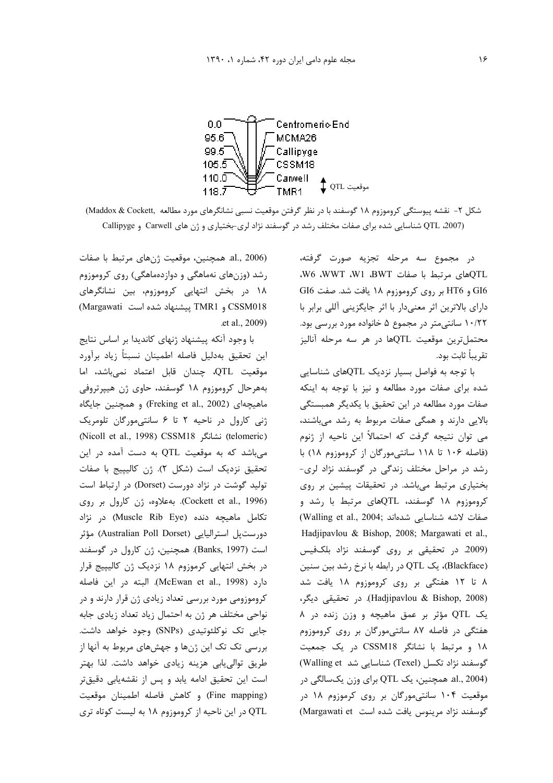

شکل ۲- نقشه پیوستگی کروموزوم ۱۸ گوسفند با در نظر گرفتن موقعیت نسبی نشانگرهای مورد مطالعه Maddox & Cockett, OTL 2007) شناسایی شده برای صفات مختلف رشد در گوسفند نژاد لری-بختیاری و ژن های Carwell و Callipyge

در مجموع سه مرحله تجزیه صورت گرفته، .W6 .WWT .W1 .BWT صفات WU .BWT .WT GI6 و HT6 بر روی کروموزوم ۱۸ یافت شد. صفت GI6 دارای بالاترین اثر معنیدار با اثر جایگزینی آللی برابر با ۱۰/۲۲ سانتی متر در مجموع ۵ خانواده مورد بررسی بود. محتملترين موقعيت QTLها در هر سه مرحله آناليز تقريباً ثابت بود.

با توجه به فواصل بسیار نزدیک QTLهای شناسایی شده برای صفات مورد مطالعه و نیز با توجه به اینکه صفات مورد مطالعه در این تحقیق با یکدیگر همبستگی بالایی دارند و همگی صفات مربوط به رشد میباشند، می توان نتیجه گرفت که احتمالاً این ناحیه از ژنوم (فاصله ۱۰۶ تا ۱۱۸ سانتی مورگان از کروموزوم ۱۸) با رشد در مراحل مختلف زندگی در گوسفند نژاد لری-بختیاری مرتبط میباشد. در تحقیقات پیشین بر روی کروموزوم ۱۸ گوسفند، QTLهای مرتبط با رشد و (Walling et al., 2004; شدهاند (Walling et al., 2004) Hadjipavlou & Bishop, 2008; Margawati et al., (2009. در تحقیقی بر روی گوسفند نژاد بلکفیس (Blackface)، یک QTL در رابطه با نرخ رشد بین سنین ۸ تا ۱۲ هفتگی بر روی کروموزوم ۱۸ یافت شد (Hadjipavlou & Bishop, 2008). در تحقیقی دیگر، یک QTL مؤثر بر عمق ماهیچه و وزن زنده در ۸ هفتگی در فاصله ۸۷ سانتی مورگان بر روی کروموزوم ۱۸ و مرتبط با نشانگر CSSM18 در یک جمعیت گوسفند نژاد تکسل (Texel) شناسایی شد Walling et) al., 2004). همچنین، یک QTL برای وزن یکسالگی در موقعیت ۱۰۴ سانتی مورگان بر روی کرموزوم ۱۸ در گوسفند نژاد مرینوس یافت شده است Margawati et)

al., 2006). همچنین، موقعیت ژنهای مرتبط با صفات رشد (وزنهای نهماهگی و دوازدهماهگی) روی کروموزوم ۱۸ در بخش انتهایی کروموزوم، بین نشانگرهای CSSM018 و TMR1 پیشنهاد شده است Margawati) .et al., 2009)

با وجود آنکه پیشنهاد ژنهای کاندیدا بر اساس نتایج اين تحقيق بهدليل فاصله اطمينان نسبتأ زياد برأورد موقعیت QTL، چندان قابل اعتماد نمی باشد، اما بههرحال کروموزوم ۱۸ گوسفند، حاوی ژن هیپرتروفی ماهيچەاي (Freking et al., 2002) و همچنين جايگاه ژنی کارول در ناحیه ۲ تا ۶ سانتی مورگان تلومریک (telomeric) نشانگر CSSM18) نشانگر (Nicoll et al., 1998) می باشد که به موقعیت QTL به دست آمده در این تحقيق نزديک است (شكل ٢). ژن كاليپيج با صفات تولید گوشت در نژاد دورست (Dorset) در ارتباط است (Cockett et al., 1996). بهعلاوه، ژن کارول بر روی تکامل ماهیچه دنده (Muscle Rib Eye) در نژاد دورستيل استراليايي (Australian Poll Dorset) مؤثر است (Banks, 1997). همچنین، ژن کارول در گوسفند در بخش انتهایی کرموزوم ۱۸ نزدیک ژن کالیپیج قرار دارد (McEwan et al., 1998). البته در اين فاصله کروموزومی مورد بررسی تعداد زیادی ژن قرار دارند و در نواحی مختلف هر ژن به احتمال زیاد تعداد زیادی جابه جایی تک نوکلئوتیدی (SNPs) وجود خواهد داشت. بررسی تک تک این ژنها و جهشهای مربوط به آنها از طریق توالی یابی هزینه زیادی خواهد داشت. لذا بهتر است این تحقیق ادامه یابد و پس از نقشهیابی دقیقتر (Fine mapping) و كاهش فاصله اطمينان موقعيت QTL در این ناحیه از کروموزوم ۱۸ به لیست کوتاه تری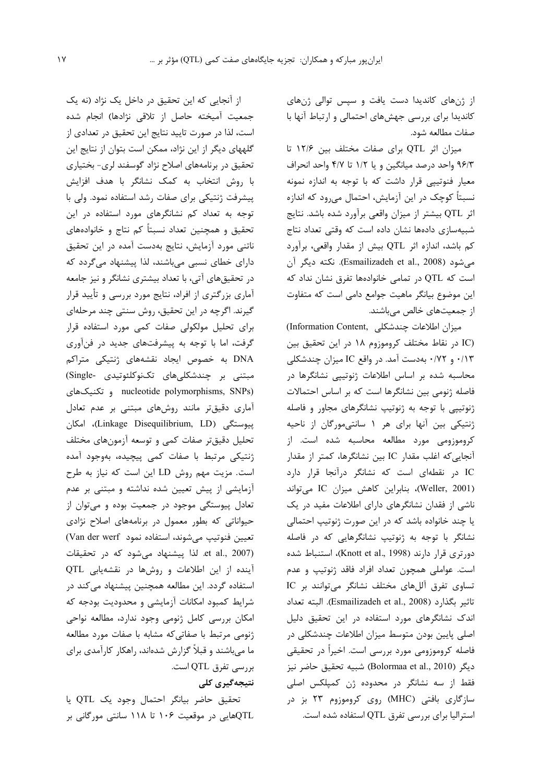از ژنهای کاندیدا دست یافت و سپس توالی ژنهای کاندیدا برای بررسی جهشهای احتمالی و ارتباط آنها با صفات مطالعه شود.

میزان اثر QTL برای صفات مختلف بین ۱۲/۶ تا ۹۶/۳ واحد درصد میانگین و یا ۱/۲ تا ۴/۷ واحد انحراف معیار فنوتیپی قرار داشت که با توجه به اندازه نمونه نسبتاً کوچک در این آزمایش، احتمال می٫ود که اندازه اثر QTL بیشتر از میزان واقعی برآورد شده باشد. نتایج شبیهسازی دادهها نشان داده است که وقتی تعداد نتاج کم باشد، اندازه اثر QTL بیش از مقدار واقعی، برآورد مي شود (Esmailizadeh et al., 2008). نكته ديگر آن است که QTL در تمامی خانوادهها تفرق نشان نداد که این موضوع بیانگر ماهیت جوامع دامی است که متفاوت از جمعیتهای خالص میباشند.

(Information Content, ميزان اطلاعات چندشكلى (IC در نقاط مختلف کروموزوم ۱۸ در این تحقیق بین ۰/۱۳ و ۰/۷۲ بهدست آمد. در واقع IC میزان چندشکلی محاسبه شده بر اساس اطلاعات ژنوتییی نشانگرها در فاصله ژنومی بین نشانگرها است که بر اساس احتمالات ژنوتیپی با توجه به ژنوتیپ نشانگرهای مجاور و فاصله ژنتیکی بین آنها برای هر ۱ سانتی مورگان از ناحیه کروموزومی مورد مطالعه محاسبه شده است. از آنجایی که اغلب مقدار IC بین نشانگرها، کمتر از مقدار IC در نقطهای است که نشانگر درآنجا قرار دارد (Weller, 2001)، بنابراين كاهش ميزان IC مىتواند ناشی از فقدان نشانگرهای دارای اطلاعات مفید در یک یا چند خانواده باشد که در این صورت ژنوتیپ احتمالی نشانگر با توجه به ژنوتیپ نشانگرهایی که در فاصله دورتری قرار دارند (Knott et al., 1998)، استنباط شده است. عواملی همچون تعداد افراد فاقد ژنوتیپ و عدم تساوي تفرق آللهاي مختلف نشانگر مي توانند بر IC تاثير بكذارد (Esmailizadeh et al., 2008). البته تعداد اندک نشانگرهای مورد استفاده در این تحقیق دلیل اصلی پایین بودن متوسط میزان اطلاعات چندشکلی در فاصله کروموزومی مورد بررسی است. اخیراً در تحقیقی ديگر (Bolormaa et al., 2010) شبيه تحقيق حاضر نيز فقط از سه نشانگر در محدوده ژن کمپلکس اصلی سازگاری بافتی (MHC) روی کروموزوم ۲۳ بز در استرالیا برای بررسی تفرق QTL استفاده شده است.

از آنجایی که این تحقیق در داخل یک نژاد (نه یک جمعیت آمیخته حاصل از تلاقی نژادها) انجام شده است، لذا در صورت تاييد نتايج اين تحقيق در تعدادي از گلههای دیگر از این نژاد، ممکن است بتوان از نتایج این تحقیق در برنامههای اصلاح نژاد گوسفند لری- بختیاری با روش انتخاب به کمک نشانگر با هدف افزایش پیشرفت ژنتیکی برای صفات رشد استفاده نمود. ولی با توجه به تعداد کم نشانگرهای مورد استفاده در این تحقيق و همچنين تعداد نسبتاً كم نتاج و خانوادههاى ناتنی مورد آزمایش، نتایج بهدست آمده در این تحقیق دارای خطای نسبی میباشند، لذا پیشنهاد میگردد که در تحقیقهای آتی، با تعداد بیشتری نشانگر و نیز جامعه آماری بزرگتری از افراد، نتایج مورد بررسی و تأیید قرار گیرند. اگرچه در این تحقیق، روش سنتی چند مرحلهای برای تحلیل مولکولی صفات کمی مورد استفاده قرار گرفت، اما با توجه به پیشرفتهای جدید در فنآوری DNA به خصوص ایجاد نقشههای ژنتیکی متراکم مبتنى بر چندشكلى هاى تكنوكلئوتيدى -Single) nucleotide polymorphisms, SNPs) و تكنيكهاى آماری دقیقتر مانند روشهای مبتنی بر عدم تعادل ييوستگى (Linkage Disequilibrium, LD)، امكان تحلیل دقیقتر صفات کمی و توسعه آزمونهای مختلف ژنتیکی مرتبط با صفات کمی پیچیده، بهوجود آمده است. مزيت مهم روش LD اين است كه نياز به طرح آزمایشی از پیش تعیین شده نداشته و مبتنی بر عدم تعادل پیوستگی موجود در جمعیت بوده و میتوان از حیواناتی که بطور معمول در برنامههای اصلاح نژادی تعيين فنوتيپ مى شوند، استفاده نمود Van der werf) et al., 2007). لذا پیشنهاد می شود که در تحقیقات آینده از این اطلاعات و روشها در نقشهیابی QTL استفاده گردد. این مطالعه همچنین پیشنهاد میکند در شرایط کمبود امکانات آزمایشی و محدودیت بودجه که امکان بررسی کامل ژنومی وجود ندارد، مطالعه نواحی ژنومی مرتبط با صفاتی که مشابه با صفات مورد مطالعه ما میباشند و قبلاً گزارش شدهاند، راهکار کارآمدی برای بررسی تفرق QTL است.

### نتیجەگیری کلی

تحقيق حاضر بيانگر احتمال وجود يک QTL يا QTLهایی در موقعیت ۱۰۶ تا ۱۱۸ سانتی مورگانی بر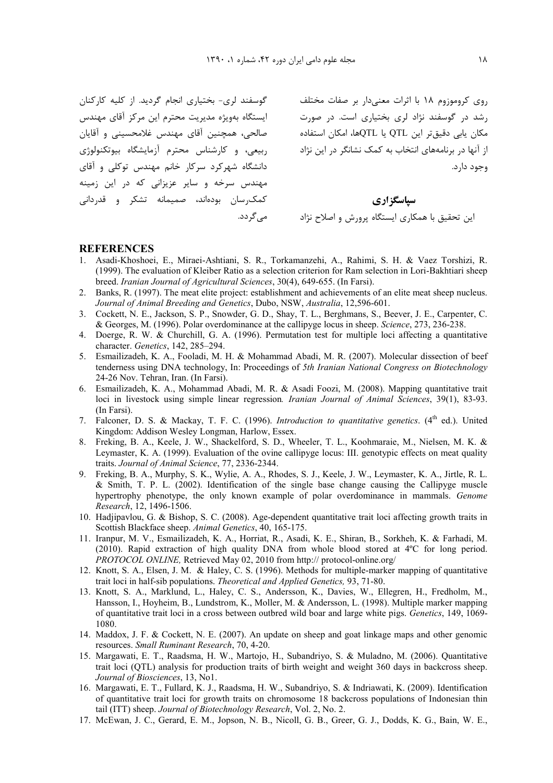گوسفند لری- بختیاری انجام گردید. از کلیه کارکنان ایستگاه بهویژه مدیریت محترم این مرکز آقای مهندس صالحی، همچنین أقای مهندس غلامحسینی و أقایان ربیعی، و کارشناس محترم آزمایشگاه بیوتکنولوژی دانشگاه شهرکرد سرکار خانم مهندس توکلی و آقای مهندس سرخه و سایر عزیزانی که در این زمینه کمکرسان بودهاند، صمیمانه تشکر و قدردانی مے گردد.

روی کروموزوم ۱۸ با اثرات معنیدار بر صفات مختلف رشد در گوسفند نژاد لری بختیاری است. در صورت مکان یابی دقیقتر این QTL یا QTLها، امکان استفاده از آنها در برنامههای انتخاب به کمک نشانگر در این نژاد وجود دارد.

**& \$E\$** ". =J:" e&] - 31" O % ' ^\$GT+ ("

#### **REFERENCES**

- 1. Asadi-Khoshoei, E., Miraei-Ashtiani, S. R., Torkamanzehi, A., Rahimi, S. H. & Vaez Torshizi, R. (1999). The evaluation of Kleiber Ratio as a selection criterion for Ram selection in Lori-Bakhtiari sheep breed. *Iranian Journal of Agricultural Sciences*, 30(4), 649-655. (In Farsi).
- 2. Banks, R. (1997). The meat elite project: establishment and achievements of an elite meat sheep nucleus. *Journal of Animal Breeding and Genetics*, Dubo, NSW, *Australia*, 12,596-601.
- 3. Cockett, N. E., Jackson, S. P., Snowder, G. D., Shay, T. L., Berghmans, S., Beever, J. E., Carpenter, C. & Georges, M. (1996). Polar overdominance at the callipyge locus in sheep. *Science*, 273, 236-238.
- 4. Doerge, R. W. & Churchill, G. A. (1996). Permutation test for multiple loci affecting a quantitative character. *Genetics*, 142, 285–294.
- 5. Esmailizadeh, K. A., Fooladi, M. H. & Mohammad Abadi, M. R. (2007). Molecular dissection of beef tenderness using DNA technology, In: Proceedings of *5th Iranian National Congress on Biotechnology* 24-26 Nov. Tehran, Iran. (In Farsi).
- 6. Esmailizadeh, K. A., Mohammad Abadi, M. R. & Asadi Foozi, M. (2008). Mapping quantitative trait loci in livestock using simple linear regression*. Iranian Journal of Animal Sciences*, 39(1), 83-93. (In Farsi).
- 7. Falconer, D. S. & Mackay, T. F. C. (1996). *Introduction to quantitative genetics*. (4<sup>th</sup> ed.). United Kingdom: Addison Wesley Longman, Harlow, Essex.
- 8. Freking, B. A., Keele, J. W., Shackelford, S. D., Wheeler, T. L., Koohmaraie, M., Nielsen, M. K. & Leymaster, K. A. (1999). Evaluation of the ovine callipyge locus: III. genotypic effects on meat quality traits. *Journal of Animal Science*, 77, 2336-2344.
- 9. Freking, B. A., Murphy, S. K., Wylie, A. A., Rhodes, S. J., Keele, J. W., Leymaster, K. A., Jirtle, R. L. & Smith, T. P. L. (2002). Identification of the single base change causing the Callipyge muscle hypertrophy phenotype, the only known example of polar overdominance in mammals. *Genome Research*, 12, 1496-1506.
- 10. Hadjipavlou, G. & Bishop, S. C. (2008). Age-dependent quantitative trait loci affecting growth traits in Scottish Blackface sheep. *Animal Genetics*, 40, 165-175.
- 11. Iranpur, M. V., Esmailizadeh, K. A., Horriat, R., Asadi, K. E., Shiran, B., Sorkheh, K. & Farhadi, M. (2010). Rapid extraction of high quality DNA from whole blood stored at 4ºC for long period. *PROTOCOL ONLINE,* Retrieved May 02, 2010 from http:// protocol-online.org/
- 12. Knott, S. A., Elsen, J. M. & Haley, C. S. (1996). Methods for multiple-marker mapping of quantitative trait loci in half-sib populations. *Theoretical and Applied Genetics,* 93, 71-80.
- 13. Knott, S. A., Marklund, L., Haley, C. S., Andersson, K., Davies, W., Ellegren, H., Fredholm, M., Hansson, I., Hoyheim, B., Lundstrom, K., Moller, M. & Andersson, L. (1998). Multiple marker mapping of quantitative trait loci in a cross between outbred wild boar and large white pigs. *Genetics*, 149, 1069- 1080.
- 14. Maddox, J. F. & Cockett, N. E. (2007). An update on sheep and goat linkage maps and other genomic resources. *Small Ruminant Research*, 70, 4-20.
- 15. Margawati, E. T., Raadsma, H. W., Martojo, H., Subandriyo, S. & Muladno, M. (2006). Quantitative trait loci (QTL) analysis for production traits of birth weight and weight 360 days in backcross sheep. *Journal of Biosciences*, 13, No1.
- 16. Margawati, E. T., Fullard, K. J., Raadsma, H. W., Subandriyo, S. & Indriawati, K. (2009). Identification of quantitative trait loci for growth traits on chromosome 18 backcross populations of Indonesian thin tail (ITT) sheep. *Journal of Biotechnology Research*, Vol. 2, No. 2.
- 17. McEwan, J. C., Gerard, E. M., Jopson, N. B., Nicoll, G. B., Greer, G. J., Dodds, K. G., Bain, W. E.,